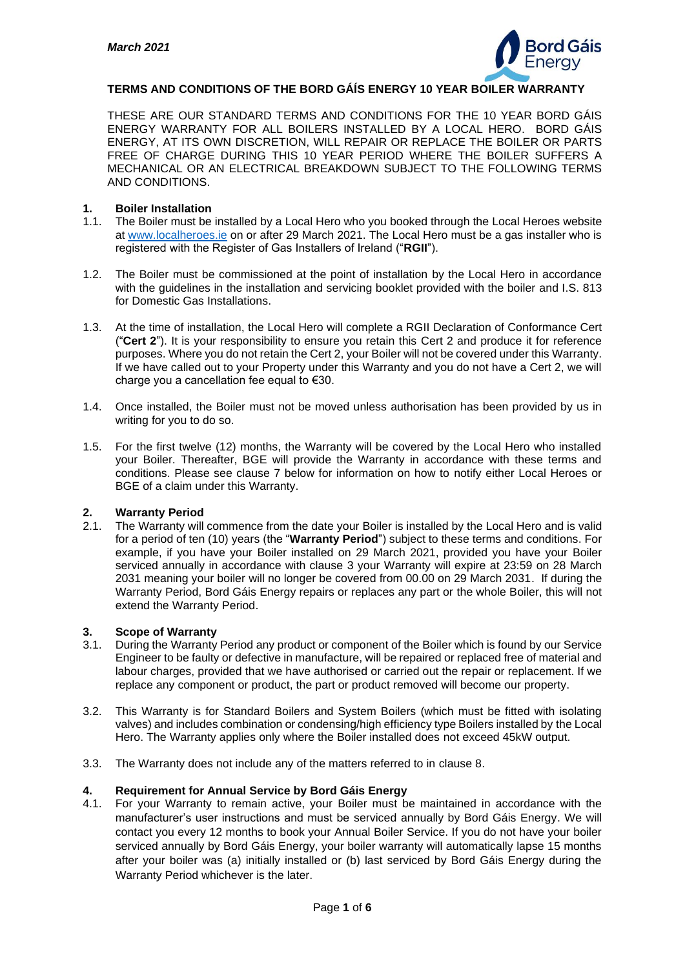

## **TERMS AND CONDITIONS OF THE BORD GÁÍS ENERGY 10 YEAR BOILER WARRANTY**

THESE ARE OUR STANDARD TERMS AND CONDITIONS FOR THE 10 YEAR BORD GÁIS ENERGY WARRANTY FOR ALL BOILERS INSTALLED BY A LOCAL HERO. BORD GÁIS ENERGY, AT ITS OWN DISCRETION, WILL REPAIR OR REPLACE THE BOILER OR PARTS FREE OF CHARGE DURING THIS 10 YEAR PERIOD WHERE THE BOILER SUFFERS A MECHANICAL OR AN ELECTRICAL BREAKDOWN SUBJECT TO THE FOLLOWING TERMS AND CONDITIONS.

#### **1. Boiler Installation**

- 1.1. The Boiler must be installed by a Local Hero who you booked through the Local Heroes website at [www.localheroes.ie](http://www.localheroes.ie/) on or after 29 March 2021. The Local Hero must be a gas installer who is registered with the Register of Gas Installers of Ireland ("**RGII**").
- 1.2. The Boiler must be commissioned at the point of installation by the Local Hero in accordance with the guidelines in the installation and servicing booklet provided with the boiler and I.S. 813 for Domestic Gas Installations.
- 1.3. At the time of installation, the Local Hero will complete a RGII Declaration of Conformance Cert ("**Cert 2**"). It is your responsibility to ensure you retain this Cert 2 and produce it for reference purposes. Where you do not retain the Cert 2, your Boiler will not be covered under this Warranty. If we have called out to your Property under this Warranty and you do not have a Cert 2, we will charge you a cancellation fee equal to €30.
- 1.4. Once installed, the Boiler must not be moved unless authorisation has been provided by us in writing for you to do so.
- 1.5. For the first twelve (12) months, the Warranty will be covered by the Local Hero who installed your Boiler. Thereafter, BGE will provide the Warranty in accordance with these terms and conditions. Please see clause 7 below for information on how to notify either Local Heroes or BGE of a claim under this Warranty.

#### **2. Warranty Period**

2.1. The Warranty will commence from the date your Boiler is installed by the Local Hero and is valid for a period of ten (10) years (the "**Warranty Period**") subject to these terms and conditions. For example, if you have your Boiler installed on 29 March 2021, provided you have your Boiler serviced annually in accordance with clause 3 your Warranty will expire at 23:59 on 28 March 2031 meaning your boiler will no longer be covered from 00.00 on 29 March 2031. If during the Warranty Period, Bord Gáis Energy repairs or replaces any part or the whole Boiler, this will not extend the Warranty Period.

# **3. Scope of Warranty**

- 3.1. During the Warranty Period any product or component of the Boiler which is found by our Service Engineer to be faulty or defective in manufacture, will be repaired or replaced free of material and labour charges, provided that we have authorised or carried out the repair or replacement. If we replace any component or product, the part or product removed will become our property.
- 3.2. This Warranty is for Standard Boilers and System Boilers (which must be fitted with isolating valves) and includes combination or condensing/high efficiency type Boilers installed by the Local Hero. The Warranty applies only where the Boiler installed does not exceed 45kW output.
- 3.3. The Warranty does not include any of the matters referred to in clause 8.

#### **4. Requirement for Annual Service by Bord Gáis Energy**

4.1. For your Warranty to remain active, your Boiler must be maintained in accordance with the manufacturer's user instructions and must be serviced annually by Bord Gáis Energy. We will contact you every 12 months to book your Annual Boiler Service. If you do not have your boiler serviced annually by Bord Gáis Energy, your boiler warranty will automatically lapse 15 months after your boiler was (a) initially installed or (b) last serviced by Bord Gáis Energy during the Warranty Period whichever is the later.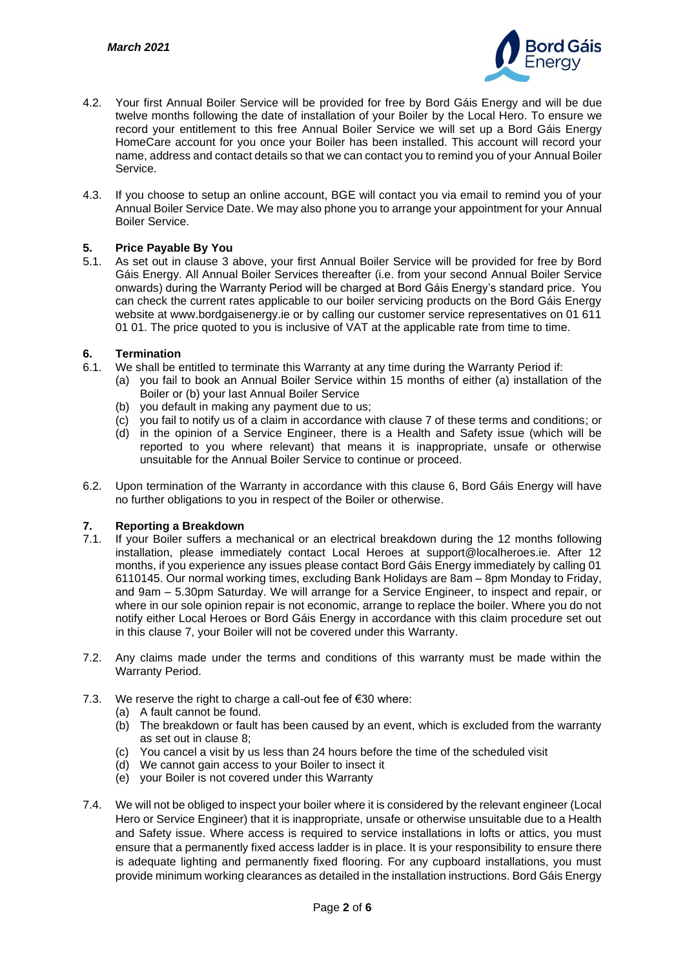

- 4.2. Your first Annual Boiler Service will be provided for free by Bord Gáis Energy and will be due twelve months following the date of installation of your Boiler by the Local Hero. To ensure we record your entitlement to this free Annual Boiler Service we will set up a Bord Gáis Energy HomeCare account for you once your Boiler has been installed. This account will record your name, address and contact details so that we can contact you to remind you of your Annual Boiler Service.
- 4.3. If you choose to setup an online account, BGE will contact you via email to remind you of your Annual Boiler Service Date. We may also phone you to arrange your appointment for your Annual Boiler Service.

## **5. Price Payable By You**

5.1. As set out in clause 3 above, your first Annual Boiler Service will be provided for free by Bord Gáis Energy. All Annual Boiler Services thereafter (i.e. from your second Annual Boiler Service onwards) during the Warranty Period will be charged at Bord Gáis Energy's standard price. You can check the current rates applicable to our boiler servicing products on the Bord Gáis Energy website at www.bordgaisenergy.ie or by calling our customer service representatives on 01 611 01 01. The price quoted to you is inclusive of VAT at the applicable rate from time to time.

## **6. Termination**

- 6.1. We shall be entitled to terminate this Warranty at any time during the Warranty Period if:
	- (a) you fail to book an Annual Boiler Service within 15 months of either (a) installation of the Boiler or (b) your last Annual Boiler Service
	- (b) you default in making any payment due to us;
	- (c) you fail to notify us of a claim in accordance with clause 7 of these terms and conditions; or
	- (d) in the opinion of a Service Engineer, there is a Health and Safety issue (which will be reported to you where relevant) that means it is inappropriate, unsafe or otherwise unsuitable for the Annual Boiler Service to continue or proceed.
- 6.2. Upon termination of the Warranty in accordance with this clause 6, Bord Gáis Energy will have no further obligations to you in respect of the Boiler or otherwise.

## **7. Reporting a Breakdown**

- 7.1. If your Boiler suffers a mechanical or an electrical breakdown during the 12 months following installation, please immediately contact Local Heroes at support@localheroes.ie. After 12 months, if you experience any issues please contact Bord Gáis Energy immediately by calling 01 6110145. Our normal working times, excluding Bank Holidays are 8am – 8pm Monday to Friday, and 9am – 5.30pm Saturday. We will arrange for a Service Engineer, to inspect and repair, or where in our sole opinion repair is not economic, arrange to replace the boiler. Where you do not notify either Local Heroes or Bord Gáis Energy in accordance with this claim procedure set out in this clause 7, your Boiler will not be covered under this Warranty.
- 7.2. Any claims made under the terms and conditions of this warranty must be made within the Warranty Period.
- 7.3. We reserve the right to charge a call-out fee of  $\epsilon$ 30 where:
	- (a) A fault cannot be found.
	- (b) The breakdown or fault has been caused by an event, which is excluded from the warranty as set out in clause 8;
	- (c) You cancel a visit by us less than 24 hours before the time of the scheduled visit
	- (d) We cannot gain access to your Boiler to insect it
	- (e) your Boiler is not covered under this Warranty
- 7.4. We will not be obliged to inspect your boiler where it is considered by the relevant engineer (Local Hero or Service Engineer) that it is inappropriate, unsafe or otherwise unsuitable due to a Health and Safety issue. Where access is required to service installations in lofts or attics, you must ensure that a permanently fixed access ladder is in place. It is your responsibility to ensure there is adequate lighting and permanently fixed flooring. For any cupboard installations, you must provide minimum working clearances as detailed in the installation instructions. Bord Gáis Energy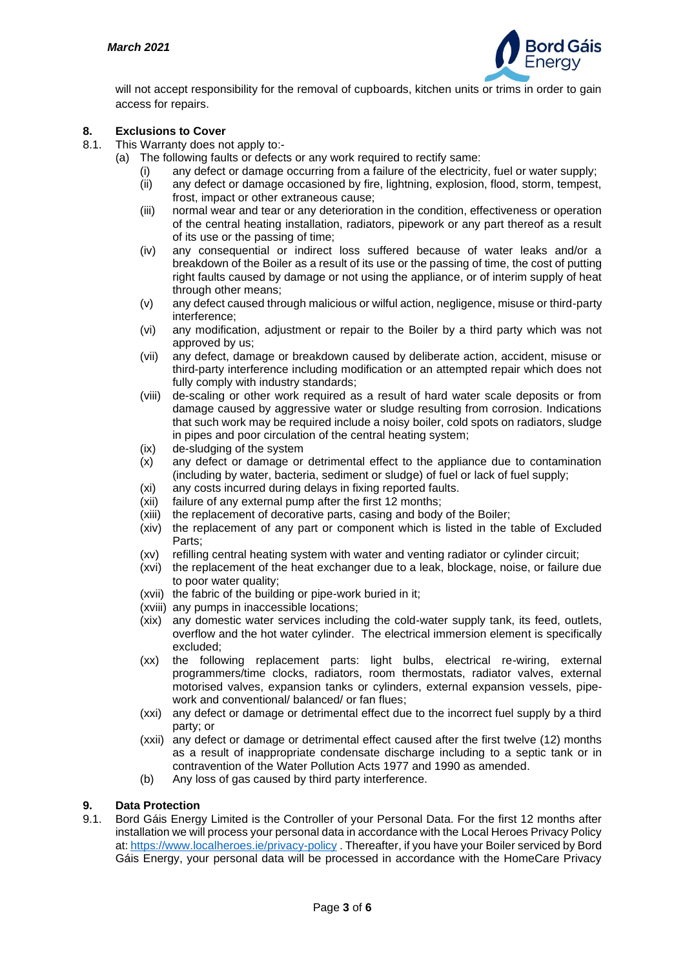

will not accept responsibility for the removal of cupboards, kitchen units or trims in order to gain access for repairs.

## **8. Exclusions to Cover**

- 8.1. This Warranty does not apply to:-
	- (a) The following faults or defects or any work required to rectify same:
		- (i) any defect or damage occurring from a failure of the electricity, fuel or water supply;
			- (ii) any defect or damage occasioned by fire, lightning, explosion, flood, storm, tempest, frost, impact or other extraneous cause;
			- (iii) normal wear and tear or any deterioration in the condition, effectiveness or operation of the central heating installation, radiators, pipework or any part thereof as a result of its use or the passing of time;
			- (iv) any consequential or indirect loss suffered because of water leaks and/or a breakdown of the Boiler as a result of its use or the passing of time, the cost of putting right faults caused by damage or not using the appliance, or of interim supply of heat through other means;
			- (v) any defect caused through malicious or wilful action, negligence, misuse or third-party interference;
			- (vi) any modification, adjustment or repair to the Boiler by a third party which was not approved by us;
			- (vii) any defect, damage or breakdown caused by deliberate action, accident, misuse or third-party interference including modification or an attempted repair which does not fully comply with industry standards;
			- (viii) de-scaling or other work required as a result of hard water scale deposits or from damage caused by aggressive water or sludge resulting from corrosion. Indications that such work may be required include a noisy boiler, cold spots on radiators, sludge in pipes and poor circulation of the central heating system;
			- (ix) de-sludging of the system
			- (x) any defect or damage or detrimental effect to the appliance due to contamination (including by water, bacteria, sediment or sludge) of fuel or lack of fuel supply;
			- (xi) any costs incurred during delays in fixing reported faults.
			- (xii) failure of any external pump after the first 12 months;
			- (xiii) the replacement of decorative parts, casing and body of the Boiler;
			- (xiv) the replacement of any part or component which is listed in the table of Excluded Parts;
			- (xv) refilling central heating system with water and venting radiator or cylinder circuit;
			- (xvi) the replacement of the heat exchanger due to a leak, blockage, noise, or failure due to poor water quality:
			- (xvii) the fabric of the building or pipe-work buried in it;
			- (xviii) any pumps in inaccessible locations;
			- (xix) any domestic water services including the cold-water supply tank, its feed, outlets, overflow and the hot water cylinder. The electrical immersion element is specifically excluded;
			- (xx) the following replacement parts: light bulbs, electrical re-wiring, external programmers/time clocks, radiators, room thermostats, radiator valves, external motorised valves, expansion tanks or cylinders, external expansion vessels, pipework and conventional/ balanced/ or fan flues;
			- (xxi) any defect or damage or detrimental effect due to the incorrect fuel supply by a third party; or
			- (xxii) any defect or damage or detrimental effect caused after the first twelve (12) months as a result of inappropriate condensate discharge including to a septic tank or in contravention of the Water Pollution Acts 1977 and 1990 as amended.
			- (b) Any loss of gas caused by third party interference.

#### **9. Data Protection**

9.1. Bord Gáis Energy Limited is the Controller of your Personal Data. For the first 12 months after installation we will process your personal data in accordance with the Local Heroes Privacy Policy at[: https://www.localheroes.ie/privacy-policy](https://www.localheroes.ie/privacy-policy) . Thereafter, if you have your Boiler serviced by Bord Gáis Energy, your personal data will be processed in accordance with the HomeCare Privacy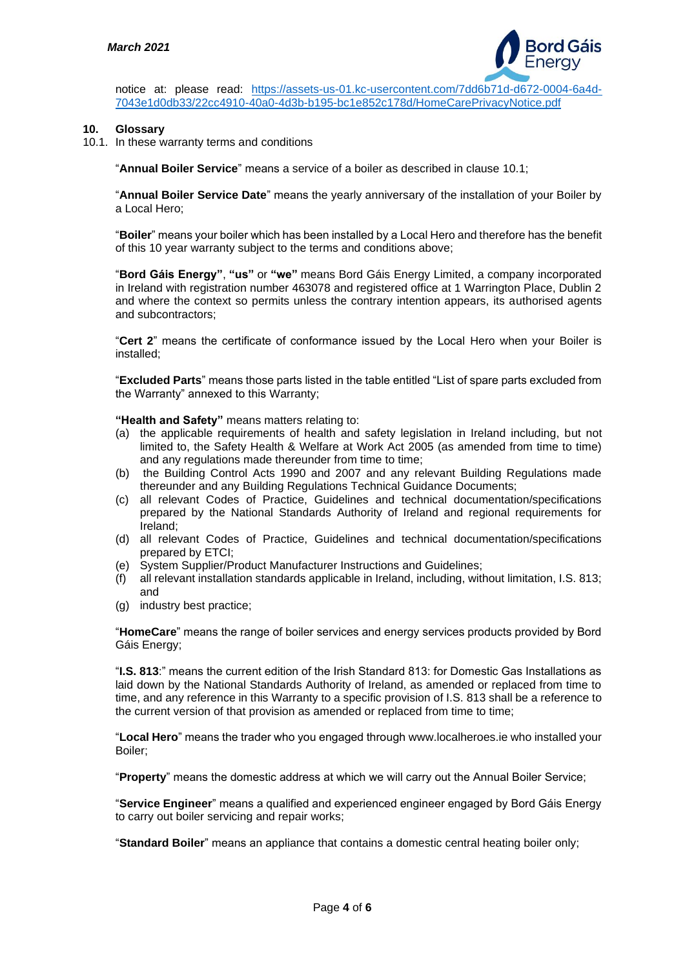

notice at: please read: [https://assets-us-01.kc-usercontent.com/7dd6b71d-d672-0004-6a4d-](https://assets-us-01.kc-usercontent.com/7dd6b71d-d672-0004-6a4d-7043e1d0db33/22cc4910-40a0-4d3b-b195-bc1e852c178d/HomeCarePrivacyNotice.pdf)[7043e1d0db33/22cc4910-40a0-4d3b-b195-bc1e852c178d/HomeCarePrivacyNotice.pdf](https://assets-us-01.kc-usercontent.com/7dd6b71d-d672-0004-6a4d-7043e1d0db33/22cc4910-40a0-4d3b-b195-bc1e852c178d/HomeCarePrivacyNotice.pdf)

#### **10. Glossary**

10.1. In these warranty terms and conditions

"**Annual Boiler Service**" means a service of a boiler as described in clause 10.1;

"**Annual Boiler Service Date**" means the yearly anniversary of the installation of your Boiler by a Local Hero;

"**Boiler**" means your boiler which has been installed by a Local Hero and therefore has the benefit of this 10 year warranty subject to the terms and conditions above;

"**Bord Gáis Energy"**, **"us"** or **"we"** means Bord Gáis Energy Limited, a company incorporated in Ireland with registration number 463078 and registered office at 1 Warrington Place, Dublin 2 and where the context so permits unless the contrary intention appears, its authorised agents and subcontractors;

"**Cert 2**" means the certificate of conformance issued by the Local Hero when your Boiler is installed;

"**Excluded Parts**" means those parts listed in the table entitled "List of spare parts excluded from the Warranty" annexed to this Warranty;

**"Health and Safety"** means matters relating to:

- (a) the applicable requirements of health and safety legislation in Ireland including, but not limited to, the Safety Health & Welfare at Work Act 2005 (as amended from time to time) and any regulations made thereunder from time to time;
- (b) the Building Control Acts 1990 and 2007 and any relevant Building Regulations made thereunder and any Building Regulations Technical Guidance Documents;
- (c) all relevant Codes of Practice, Guidelines and technical documentation/specifications prepared by the National Standards Authority of Ireland and regional requirements for Ireland;
- (d) all relevant Codes of Practice, Guidelines and technical documentation/specifications prepared by ETCI;
- (e) System Supplier/Product Manufacturer Instructions and Guidelines;
- (f) all relevant installation standards applicable in Ireland, including, without limitation, I.S. 813; and
- (g) industry best practice;

"**HomeCare**" means the range of boiler services and energy services products provided by Bord Gáis Energy;

"**I.S. 813**:" means the current edition of the Irish Standard 813: for Domestic Gas Installations as laid down by the National Standards Authority of Ireland, as amended or replaced from time to time, and any reference in this Warranty to a specific provision of I.S. 813 shall be a reference to the current version of that provision as amended or replaced from time to time;

"**Local Hero**" means the trader who you engaged through www.localheroes.ie who installed your Boiler;

"**Property**" means the domestic address at which we will carry out the Annual Boiler Service;

"**Service Engineer**" means a qualified and experienced engineer engaged by Bord Gáis Energy to carry out boiler servicing and repair works;

"**Standard Boiler**" means an appliance that contains a domestic central heating boiler only;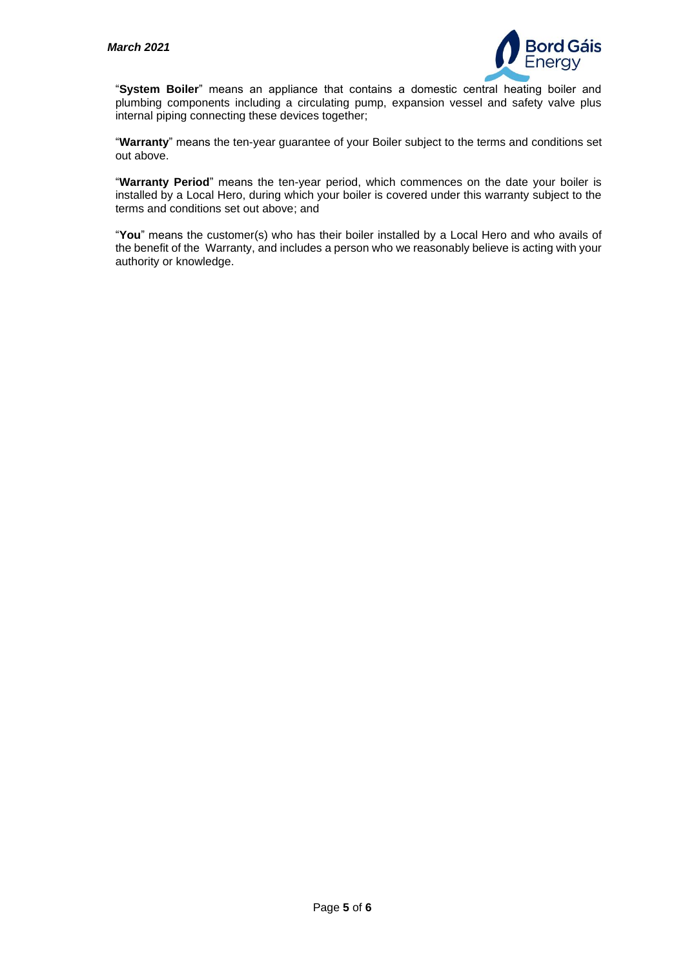

"**System Boiler**" means an appliance that contains a domestic central heating boiler and plumbing components including a circulating pump, expansion vessel and safety valve plus internal piping connecting these devices together;

"**Warranty**" means the ten-year guarantee of your Boiler subject to the terms and conditions set out above.

"**Warranty Period**" means the ten-year period, which commences on the date your boiler is installed by a Local Hero, during which your boiler is covered under this warranty subject to the terms and conditions set out above; and

"**You**" means the customer(s) who has their boiler installed by a Local Hero and who avails of the benefit of the Warranty, and includes a person who we reasonably believe is acting with your authority or knowledge.